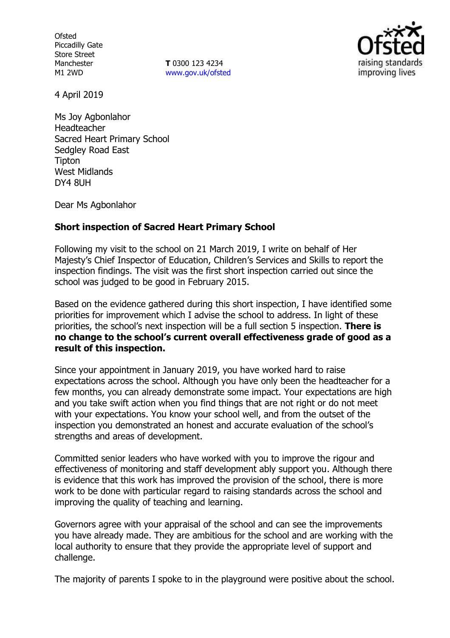**Ofsted** Piccadilly Gate Store Street Manchester M1 2WD

**T** 0300 123 4234 www.gov.uk/ofsted



4 April 2019

Ms Joy Agbonlahor Headteacher Sacred Heart Primary School Sedgley Road East **Tipton** West Midlands DY4 8UH

Dear Ms Agbonlahor

#### **Short inspection of Sacred Heart Primary School**

Following my visit to the school on 21 March 2019, I write on behalf of Her Majesty's Chief Inspector of Education, Children's Services and Skills to report the inspection findings. The visit was the first short inspection carried out since the school was judged to be good in February 2015.

Based on the evidence gathered during this short inspection, I have identified some priorities for improvement which I advise the school to address. In light of these priorities, the school's next inspection will be a full section 5 inspection. **There is no change to the school's current overall effectiveness grade of good as a result of this inspection.**

Since your appointment in January 2019, you have worked hard to raise expectations across the school. Although you have only been the headteacher for a few months, you can already demonstrate some impact. Your expectations are high and you take swift action when you find things that are not right or do not meet with your expectations. You know your school well, and from the outset of the inspection you demonstrated an honest and accurate evaluation of the school's strengths and areas of development.

Committed senior leaders who have worked with you to improve the rigour and effectiveness of monitoring and staff development ably support you. Although there is evidence that this work has improved the provision of the school, there is more work to be done with particular regard to raising standards across the school and improving the quality of teaching and learning.

Governors agree with your appraisal of the school and can see the improvements you have already made. They are ambitious for the school and are working with the local authority to ensure that they provide the appropriate level of support and challenge.

The majority of parents I spoke to in the playground were positive about the school.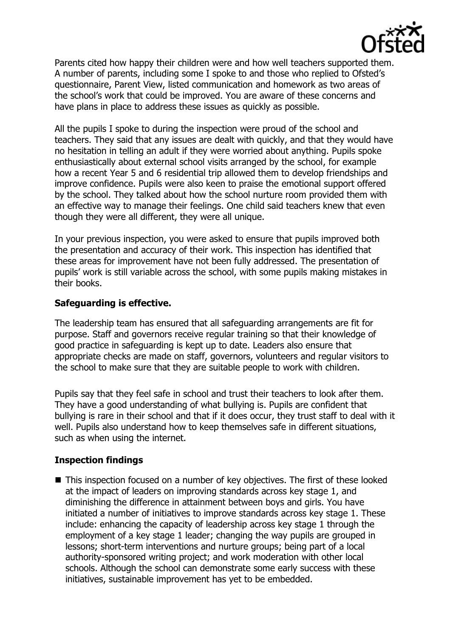

Parents cited how happy their children were and how well teachers supported them. A number of parents, including some I spoke to and those who replied to Ofsted's questionnaire, Parent View, listed communication and homework as two areas of the school's work that could be improved. You are aware of these concerns and have plans in place to address these issues as quickly as possible.

All the pupils I spoke to during the inspection were proud of the school and teachers. They said that any issues are dealt with quickly, and that they would have no hesitation in telling an adult if they were worried about anything. Pupils spoke enthusiastically about external school visits arranged by the school, for example how a recent Year 5 and 6 residential trip allowed them to develop friendships and improve confidence. Pupils were also keen to praise the emotional support offered by the school. They talked about how the school nurture room provided them with an effective way to manage their feelings. One child said teachers knew that even though they were all different, they were all unique.

In your previous inspection, you were asked to ensure that pupils improved both the presentation and accuracy of their work. This inspection has identified that these areas for improvement have not been fully addressed. The presentation of pupils' work is still variable across the school, with some pupils making mistakes in their books.

# **Safeguarding is effective.**

The leadership team has ensured that all safeguarding arrangements are fit for purpose. Staff and governors receive regular training so that their knowledge of good practice in safeguarding is kept up to date. Leaders also ensure that appropriate checks are made on staff, governors, volunteers and regular visitors to the school to make sure that they are suitable people to work with children.

Pupils say that they feel safe in school and trust their teachers to look after them. They have a good understanding of what bullying is. Pupils are confident that bullying is rare in their school and that if it does occur, they trust staff to deal with it well. Pupils also understand how to keep themselves safe in different situations, such as when using the internet.

# **Inspection findings**

■ This inspection focused on a number of key objectives. The first of these looked at the impact of leaders on improving standards across key stage 1, and diminishing the difference in attainment between boys and girls. You have initiated a number of initiatives to improve standards across key stage 1. These include: enhancing the capacity of leadership across key stage 1 through the employment of a key stage 1 leader; changing the way pupils are grouped in lessons; short-term interventions and nurture groups; being part of a local authority-sponsored writing project; and work moderation with other local schools. Although the school can demonstrate some early success with these initiatives, sustainable improvement has yet to be embedded.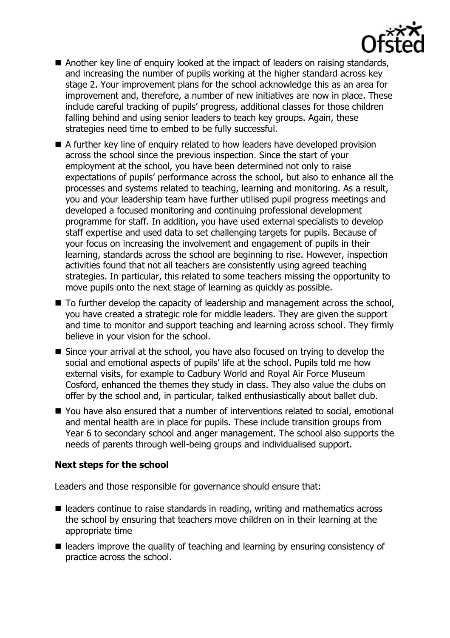

- Another key line of enquiry looked at the impact of leaders on raising standards, and increasing the number of pupils working at the higher standard across key stage 2. Your improvement plans for the school acknowledge this as an area for improvement and, therefore, a number of new initiatives are now in place. These include careful tracking of pupils' progress, additional classes for those children falling behind and using senior leaders to teach key groups. Again, these strategies need time to embed to be fully successful.
- A further key line of enquiry related to how leaders have developed provision across the school since the previous inspection. Since the start of your employment at the school, you have been determined not only to raise expectations of pupils' performance across the school, but also to enhance all the processes and systems related to teaching, learning and monitoring. As a result, you and your leadership team have further utilised pupil progress meetings and developed a focused monitoring and continuing professional development programme for staff. In addition, you have used external specialists to develop staff expertise and used data to set challenging targets for pupils. Because of your focus on increasing the involvement and engagement of pupils in their learning, standards across the school are beginning to rise. However, inspection activities found that not all teachers are consistently using agreed teaching strategies. In particular, this related to some teachers missing the opportunity to move pupils onto the next stage of learning as quickly as possible.
- To further develop the capacity of leadership and management across the school, you have created a strategic role for middle leaders. They are given the support and time to monitor and support teaching and learning across school. They firmly believe in your vision for the school.
- Since your arrival at the school, you have also focused on trying to develop the social and emotional aspects of pupils' life at the school. Pupils told me how external visits, for example to Cadbury World and Royal Air Force Museum Cosford, enhanced the themes they study in class. They also value the clubs on offer by the school and, in particular, talked enthusiastically about ballet club.
- You have also ensured that a number of interventions related to social, emotional and mental health are in place for pupils. These include transition groups from Year 6 to secondary school and anger management. The school also supports the needs of parents through well-being groups and individualised support.

## **Next steps for the school**

Leaders and those responsible for governance should ensure that:

- leaders continue to raise standards in reading, writing and mathematics across the school by ensuring that teachers move children on in their learning at the appropriate time
- leaders improve the quality of teaching and learning by ensuring consistency of practice across the school.